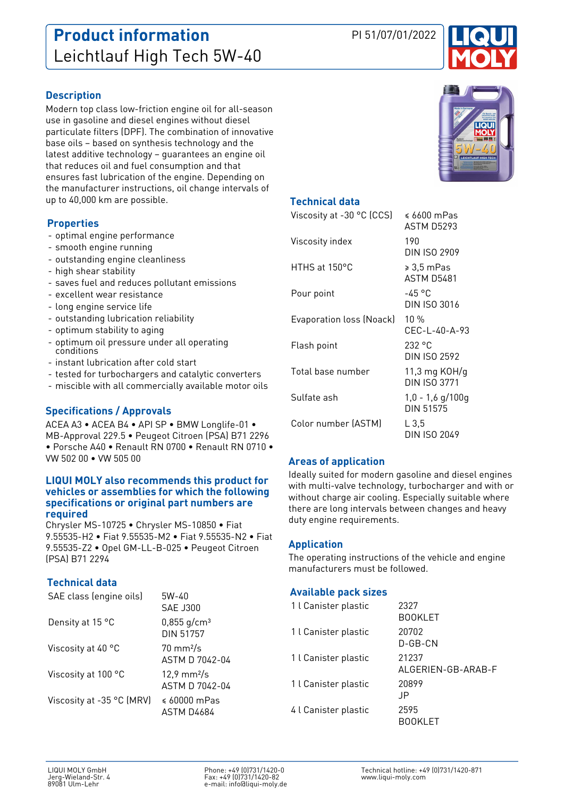# **Product information** PI 51/07/01/2022 Leichtlauf High Tech 5W-40



### **Description**

Modern top class low-friction engine oil for all-season use in gasoline and diesel engines without diesel particulate filters (DPF). The combination of innovative base oils – based on synthesis technology and the latest additive technology – guarantees an engine oil that reduces oil and fuel consumption and that ensures fast lubrication of the engine. Depending on the manufacturer instructions, oil change intervals of up to 40,000 km are possible.

### **Properties**

- optimal engine performance
- smooth engine running
- outstanding engine cleanliness
- high shear stability
- saves fuel and reduces pollutant emissions
- excellent wear resistance
- long engine service life
- outstanding lubrication reliability
- optimum stability to aging
- optimum oil pressure under all operating conditions
- instant lubrication after cold start
- tested for turbochargers and catalytic converters
- miscible with all commercially available motor oils

## **Specifications / Approvals**

ACEA A3 • ACEA B4 • API SP • BMW Longlife-01 • MB-Approval 229.5 • Peugeot Citroen (PSA) B71 2296 • Porsche A40 • Renault RN 0700 • Renault RN 0710 • VW 502 00 • VW 505 00

#### **LIQUI MOLY also recommends this product for vehicles or assemblies for which the following specifications or original part numbers are required**

Chrysler MS-10725 • Chrysler MS-10850 • Fiat 9.55535-H2 • Fiat 9.55535-M2 • Fiat 9.55535-N2 • Fiat 9.55535-Z2 • Opel GM-LL-B-025 • Peugeot Citroen (PSA) B71 2294

### **Technical data**

| SAE class (engine oils)   | 5W-40<br>SAF J300                              |
|---------------------------|------------------------------------------------|
| Density at 15 °C          | $0,855$ g/cm <sup>3</sup><br>DIN 51757         |
| Viscosity at 40 °C        | $70 \text{ mm}^2$ /s<br>ASTM D 7042-04         |
| Viscosity at 100 °C       | $12,9 \text{ mm}^2/\text{s}$<br>ASTM D 7042-04 |
| Viscosity at -35 °C (MRV) | $\leq 60000$ mPas<br>ASTM D4684                |



### **Technical data**

| Viscosity at -30 °C (CCS) | $\leqslant 6600$ mPas<br>ASTM D5293 |
|---------------------------|-------------------------------------|
| Viscosity index           | 190<br>DIN ISO 2909                 |
| HTHS at 150°C             | ≥ 3,5 mPas<br><b>ASTM D5481</b>     |
| Pour point                | -45 °C<br>DIN ISO 3016              |
| Evaporation loss (Noack)  | $10\%$<br>CEC-L-40-A-93             |
| Flash point               | 232 °C<br>DIN ISO 2592              |
| Total base number         | 11,3 mg $KOH/q$<br>DIN ISO 3771     |
| Sulfate ash               | $1,0 - 1,6$ g/100g<br>DIN 51575     |
| Color number (ASTM)       | L 3.5<br>DIN ISO 2049               |

### **Areas of application**

Ideally suited for modern gasoline and diesel engines with multi-valve technology, turbocharger and with or without charge air cooling. Especially suitable where there are long intervals between changes and heavy duty engine requirements.

#### **Application**

The operating instructions of the vehicle and engine manufacturers must be followed.

#### **Available pack sizes**

| 1 l Canister plastic | 2327<br><b>BOOKLET</b>      |
|----------------------|-----------------------------|
| 1 l Canister plastic | 20702<br>D-GB-CN            |
| 1 l Canister plastic | 21237<br>ALGERIEN-GB-ARAB-F |
| 1 l Canister plastic | 20899<br>-IP                |
| 4 l Canister plastic | 2595<br>BOOKI FT            |